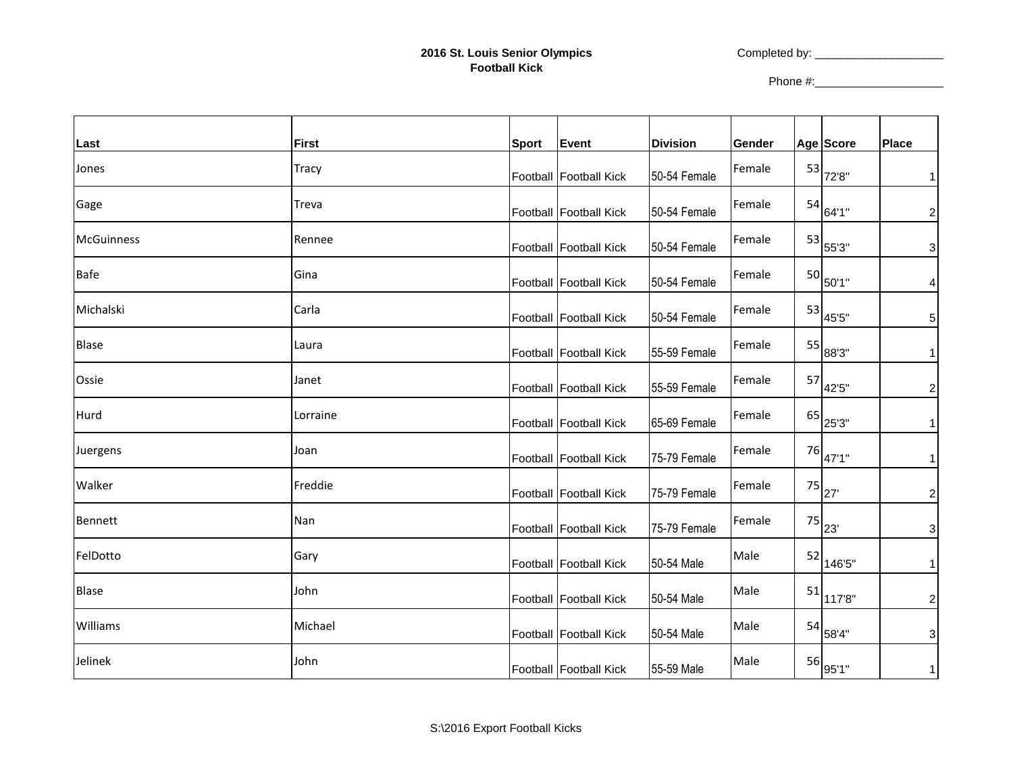Completed by: \_\_\_\_\_\_\_\_\_\_\_\_\_\_\_\_\_\_\_\_

Phone #:\_\_\_\_\_\_\_\_\_\_\_\_\_\_\_\_\_\_\_\_

|                   |              |              |                        |                 |        |                                               | <b>Place</b>              |
|-------------------|--------------|--------------|------------------------|-----------------|--------|-----------------------------------------------|---------------------------|
| Last              | <b>First</b> | <b>Sport</b> | Event                  | <b>Division</b> | Gender | Age Score                                     |                           |
| Jones             | <b>Tracy</b> |              | Football Football Kick | 50-54 Female    | Female | $\begin{array}{c c} 53 & 72.8 \end{array}$    | $\mathbf{1}$              |
| Gage              | Treva        |              | Football Football Kick | 50-54 Female    | Female | $\begin{array}{c c} 54 & 64'1'' \end{array}$  | $\overline{c}$            |
| <b>McGuinness</b> | Rennee       |              | Football Football Kick | 50-54 Female    | Female | $\begin{array}{c c} 53 & 55'3'' \end{array}$  | $\ensuremath{\mathsf{3}}$ |
| <b>Bafe</b>       | Gina         |              | Football Football Kick | 50-54 Female    | Female | $50\overline{\smash{\big)}50'1''}$            | $\overline{\mathbf{4}}$   |
| Michalski         | Carla        |              | Football Football Kick | 50-54 Female    | Female | $\begin{array}{c c} 53 & 455 \end{array}$     | $\sqrt{5}$                |
| <b>Blase</b>      | Laura        |              | Football Football Kick | 55-59 Female    | Female | $^{55} _{88^{0.3"}}$                          | $\mathbf{1}$              |
| Ossie             | Janet        |              | Football Football Kick | 55-59 Female    | Female | $\begin{array}{c c} 57 & 42.5 \\ \end{array}$ | $\boldsymbol{2}$          |
| Hurd              | Lorraine     |              | Football Football Kick | 65-69 Female    | Female | $^{65}$ 25'3"                                 | $\mathbf{1}$              |
| Juergens          | Joan         |              | Football Football Kick | 75-79 Female    | Female | $^{76}$ $47'1"$                               | $\mathbf{1}$              |
| Walker            | Freddie      |              | Football Football Kick | 75-79 Female    | Female | $^{75}$ $_{27}^{\prime}$                      | $\boldsymbol{2}$          |
| Bennett           | Nan          |              | Football Football Kick | 75-79 Female    | Female | $\begin{array}{c} 75 \ \end{array}$ 23'       | $\mathsf 3$               |
| FelDotto          | Gary         |              | Football Football Kick | 50-54 Male      | Male   | $\frac{52}{1465}$                             | $\mathbf{1}$              |
| <b>Blase</b>      | John         |              | Football Football Kick | 50-54 Male      | Male   | $\frac{51}{1178}$                             | $\boldsymbol{2}$          |
| Williams          | Michael      |              | Football Football Kick | 50-54 Male      | Male   | $\frac{54}{584}$                              | $\mathsf 3$               |
| Jelinek           | John         |              | Football Football Kick | 55-59 Male      | Male   | $^{56}$ 95'1"                                 | $\mathbf{1}$              |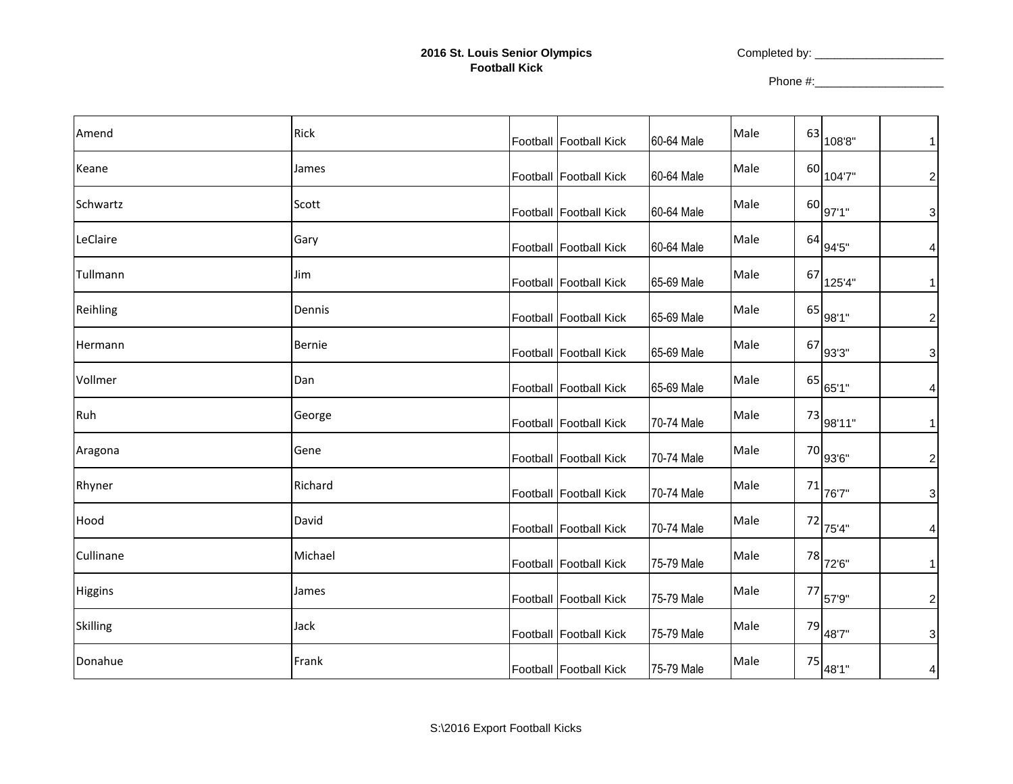## **2016 St. Louis Senior Olympics Football Kick**

Completed by: \_\_\_\_\_\_\_\_\_\_\_\_\_\_\_\_\_\_\_\_

Phone #:\_\_\_\_\_\_\_\_\_\_\_\_\_\_\_\_\_\_\_\_

| Amend          | <b>Rick</b> | Football Football Kick | 60-64 Male | Male |    | $^{63}$ 108'8"                   | $\mathbf{1}$              |
|----------------|-------------|------------------------|------------|------|----|----------------------------------|---------------------------|
| Keane          | James       | Football Football Kick | 60-64 Male | Male |    | $^{60}$ 104'7"                   | $\overline{c}$            |
| Schwartz       | Scott       | Football Football Kick | 60-64 Male | Male |    | $^{60}$ 97'1"                    | $\mathsf 3$               |
| LeClaire       | Gary        | Football Football Kick | 60-64 Male | Male |    | $^{64}$ 94'5"                    | $\overline{\mathbf{4}}$   |
| Tullmann       | Jim         | Football Football Kick | 65-69 Male | Male |    | $^{67}$ $125^{\prime}4^{\prime}$ | $\mathbf{1}$              |
| Reihling       | Dennis      | Football Football Kick | 65-69 Male | Male | 65 | 98'1"                            | $\boldsymbol{2}$          |
| Hermann        | Bernie      | Football Football Kick | 65-69 Male | Male | 67 | 93'3"                            | $\ensuremath{\mathsf{3}}$ |
| Vollmer        | Dan         | Football Football Kick | 65-69 Male | Male |    | $^{65}$ 65'1"                    | $\overline{\mathbf{4}}$   |
| Ruh            | George      | Football Football Kick | 70-74 Male | Male | 73 | 98'11"                           | $\mathbf{1}$              |
| Aragona        | Gene        | Football Football Kick | 70-74 Male | Male |    | 70 93'6"                         | $\overline{c}$            |
| Rhyner         | Richard     | Football Football Kick | 70-74 Male | Male |    | $71$ $76'7''$                    | $\mathsf 3$               |
| Hood           | David       | Football Football Kick | 70-74 Male | Male |    | $\frac{72}{75^{4}}$              | $\overline{\mathbf{r}}$   |
| Cullinane      | Michael     | Football Football Kick | 75-79 Male | Male |    | $\frac{78}{72^{6}}$              | $\mathbf{1}$              |
| <b>Higgins</b> | James       | Football Football Kick | 75-79 Male | Male | 77 | 57'9"                            | $\overline{c}$            |
| Skilling       | Jack        | Football Football Kick | 75-79 Male | Male | 79 | 48'7"                            | $\mathsf 3$               |
| Donahue        | Frank       | Football Football Kick | 75-79 Male | Male |    | $75 $ 48'1"                      | $\overline{\mathbf{4}}$   |